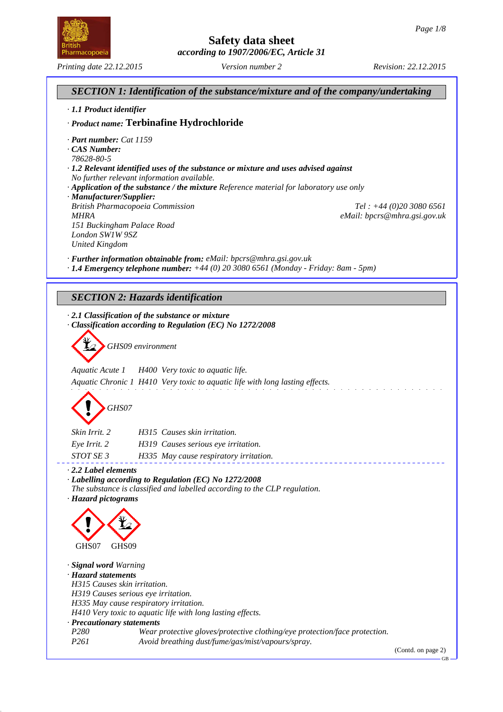*Printing date 22.12.2015 Version number 2 Revision: 22.12.2015*

# **Safety data sheet** *according to 1907/2006/EC, Article 31*



GB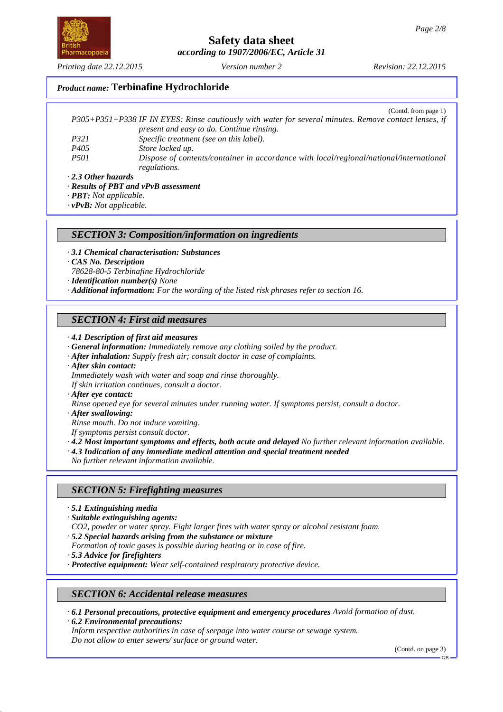*Printing date 22.12.2015 Version number 2 Revision: 22.12.2015*

### *Product name:* **Terbinafine Hydrochloride**

|                  | (Contd. from page 1)                                                                                  |
|------------------|-------------------------------------------------------------------------------------------------------|
|                  | P305+P351+P338 IF IN EYES: Rinse cautiously with water for several minutes. Remove contact lenses, if |
|                  | present and easy to do. Continue rinsing.                                                             |
| P321             | Specific treatment (see on this label).                                                               |
| P <sub>405</sub> | Store locked up.                                                                                      |
| <i>P501</i>      | Dispose of contents/container in accordance with local/regional/national/international                |
|                  | regulations.                                                                                          |

*· 2.3 Other hazards*

*· Results of PBT and vPvB assessment*

*· PBT: Not applicable.*

*· vPvB: Not applicable.*

#### *SECTION 3: Composition/information on ingredients*

- *· 3.1 Chemical characterisation: Substances*
- *· CAS No. Description*
- *78628-80-5 Terbinafine Hydrochloride*

*· Identification number(s) None*

*· Additional information: For the wording of the listed risk phrases refer to section 16.*

#### *SECTION 4: First aid measures*

- *· 4.1 Description of first aid measures*
- *· General information: Immediately remove any clothing soiled by the product.*
- *· After inhalation: Supply fresh air; consult doctor in case of complaints.*
- *· After skin contact:*

*Immediately wash with water and soap and rinse thoroughly.*

*If skin irritation continues, consult a doctor.*

*· After eye contact:*

*Rinse opened eye for several minutes under running water. If symptoms persist, consult a doctor.*

*· After swallowing:*

*Rinse mouth. Do not induce vomiting.*

- *If symptoms persist consult doctor.*
- *· 4.2 Most important symptoms and effects, both acute and delayed No further relevant information available.*
- *· 4.3 Indication of any immediate medical attention and special treatment needed*

*No further relevant information available.*

#### *SECTION 5: Firefighting measures*

- *· 5.1 Extinguishing media*
- *· Suitable extinguishing agents:*
- *CO2, powder or water spray. Fight larger fires with water spray or alcohol resistant foam.*
- *· 5.2 Special hazards arising from the substance or mixture*
- *Formation of toxic gases is possible during heating or in case of fire.*
- *· 5.3 Advice for firefighters*
- *· Protective equipment: Wear self-contained respiratory protective device.*

#### *SECTION 6: Accidental release measures*

*· 6.1 Personal precautions, protective equipment and emergency procedures Avoid formation of dust.*

*· 6.2 Environmental precautions: Inform respective authorities in case of seepage into water course or sewage system. Do not allow to enter sewers/ surface or ground water.*

(Contd. on page 3)



GB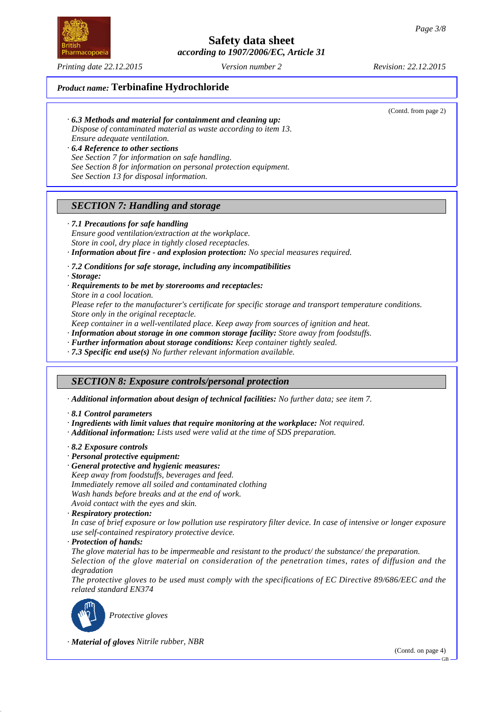

*Printing date 22.12.2015 Version number 2 Revision: 22.12.2015*

(Contd. from page 2)

*· 6.3 Methods and material for containment and cleaning up: Dispose of contaminated material as waste according to item 13.*

*Ensure adequate ventilation.*

- *· 6.4 Reference to other sections*
- *See Section 7 for information on safe handling.*
- *See Section 8 for information on personal protection equipment.*
- *See Section 13 for disposal information.*

# *SECTION 7: Handling and storage*

#### *· 7.1 Precautions for safe handling*

*Ensure good ventilation/extraction at the workplace. Store in cool, dry place in tightly closed receptacles. · Information about fire - and explosion protection: No special measures required.*

*· 7.2 Conditions for safe storage, including any incompatibilities*

*· Storage:*

- *· Requirements to be met by storerooms and receptacles:*
- *Store in a cool location.*

*Please refer to the manufacturer's certificate for specific storage and transport temperature conditions. Store only in the original receptacle.*

*Keep container in a well-ventilated place. Keep away from sources of ignition and heat.*

*· Information about storage in one common storage facility: Store away from foodstuffs.*

- *· Further information about storage conditions: Keep container tightly sealed.*
- *· 7.3 Specific end use(s) No further relevant information available.*

## *SECTION 8: Exposure controls/personal protection*

*· Additional information about design of technical facilities: No further data; see item 7.*

- *· 8.1 Control parameters*
- *· Ingredients with limit values that require monitoring at the workplace: Not required.*
- *· Additional information: Lists used were valid at the time of SDS preparation.*
- *· 8.2 Exposure controls*
- *· Personal protective equipment:*
- *· General protective and hygienic measures:*

*Keep away from foodstuffs, beverages and feed. Immediately remove all soiled and contaminated clothing Wash hands before breaks and at the end of work.*

- *Avoid contact with the eyes and skin.*
- *· Respiratory protection:*

*In case of brief exposure or low pollution use respiratory filter device. In case of intensive or longer exposure use self-contained respiratory protective device.*

*· Protection of hands:*

*The glove material has to be impermeable and resistant to the product/ the substance/ the preparation.*

*Selection of the glove material on consideration of the penetration times, rates of diffusion and the degradation*

*The protective gloves to be used must comply with the specifications of EC Directive 89/686/EEC and the related standard EN374*



*Protective gloves*

*· Material of gloves Nitrile rubber, NBR*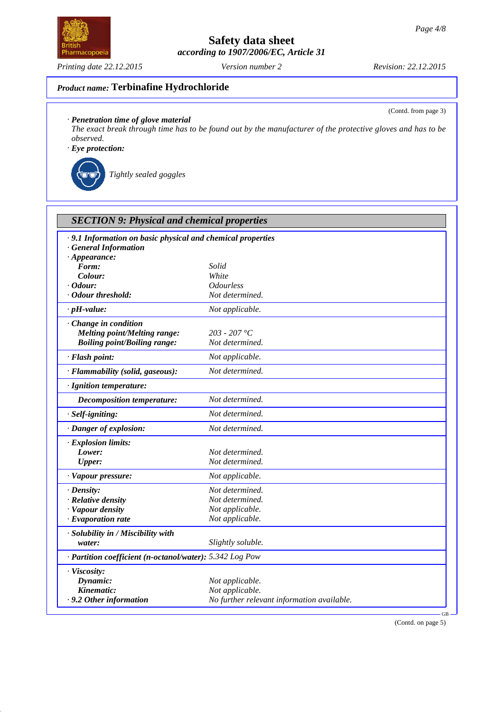**Safety data sheet**

*according to 1907/2006/EC, Article 31*

(Contd. from page 3)

# *Product name:* **Terbinafine Hydrochloride**

*· Penetration time of glove material*

*The exact break through time has to be found out by the manufacturer of the protective gloves and has to be observed.*

*· Eye protection:*

*Tightly sealed goggles*

| <b>SECTION 9: Physical and chemical properties</b>                                        |                                            |  |  |  |
|-------------------------------------------------------------------------------------------|--------------------------------------------|--|--|--|
| · 9.1 Information on basic physical and chemical properties<br><b>General Information</b> |                                            |  |  |  |
| $\cdot$ Appearance:<br>Form:                                                              | Solid                                      |  |  |  |
| Colour:                                                                                   | White                                      |  |  |  |
| $\cdot$ Odour:                                                                            | <i><b>Odourless</b></i>                    |  |  |  |
| · Odour threshold:                                                                        | Not determined.                            |  |  |  |
| $\cdot$ pH-value:                                                                         | Not applicable.                            |  |  |  |
| $\cdot$ Change in condition                                                               |                                            |  |  |  |
| <b>Melting point/Melting range:</b>                                                       | $203 - 207$ °C                             |  |  |  |
| <b>Boiling point/Boiling range:</b>                                                       | Not determined.                            |  |  |  |
|                                                                                           |                                            |  |  |  |
| · Flash point:                                                                            | Not applicable.                            |  |  |  |
| · Flammability (solid, gaseous):                                                          | Not determined.                            |  |  |  |
| · Ignition temperature:                                                                   |                                            |  |  |  |
| <b>Decomposition temperature:</b>                                                         | Not determined.                            |  |  |  |
| · Self-igniting:                                                                          | Not determined.                            |  |  |  |
| · Danger of explosion:                                                                    | Not determined.                            |  |  |  |
| · Explosion limits:                                                                       |                                            |  |  |  |
| Lower:                                                                                    | Not determined.                            |  |  |  |
| <b>Upper:</b>                                                                             | Not determined.                            |  |  |  |
| · Vapour pressure:                                                                        | Not applicable.                            |  |  |  |
| $\cdot$ Density:                                                                          | Not determined.                            |  |  |  |
| · Relative density                                                                        | Not determined.                            |  |  |  |
| · Vapour density                                                                          | Not applicable.                            |  |  |  |
| $\cdot$ Evaporation rate                                                                  | Not applicable.                            |  |  |  |
| · Solubility in / Miscibility with                                                        |                                            |  |  |  |
| water:                                                                                    | Slightly soluble.                          |  |  |  |
| · Partition coefficient (n-octanol/water): 5.342 Log Pow                                  |                                            |  |  |  |
| · Viscosity:                                                                              |                                            |  |  |  |
| Dynamic:                                                                                  | Not applicable.                            |  |  |  |
| Kinematic:                                                                                | Not applicable.                            |  |  |  |
| .9.2 Other information                                                                    | No further relevant information available. |  |  |  |
|                                                                                           |                                            |  |  |  |

(Contd. on page 5)

GB



*Printing date 22.12.2015 Version number 2 Revision: 22.12.2015*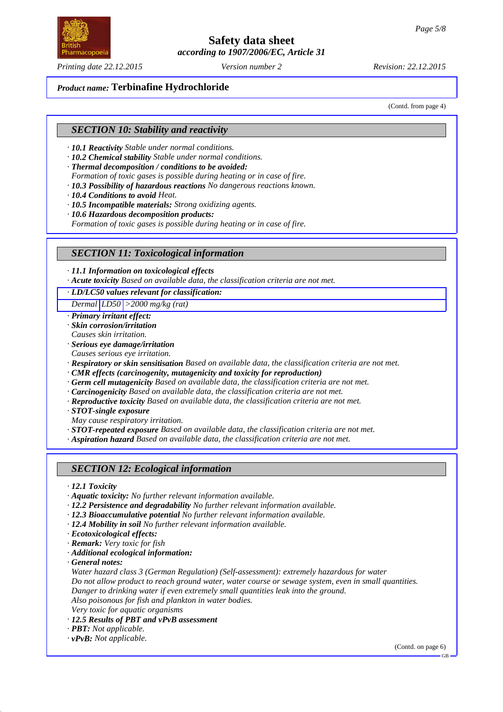**Safety data sheet**

*according to 1907/2006/EC, Article 31*

*Printing date 22.12.2015 Version number 2 Revision: 22.12.2015*

## *Product name:* **Terbinafine Hydrochloride**

(Contd. from page 4)

## *SECTION 10: Stability and reactivity*

- *· 10.1 Reactivity Stable under normal conditions.*
- *· 10.2 Chemical stability Stable under normal conditions.*
- *· Thermal decomposition / conditions to be avoided:*
- *Formation of toxic gases is possible during heating or in case of fire.*
- *· 10.3 Possibility of hazardous reactions No dangerous reactions known.*
- *· 10.4 Conditions to avoid Heat.*
- *· 10.5 Incompatible materials: Strong oxidizing agents.*
- *· 10.6 Hazardous decomposition products:*
- *Formation of toxic gases is possible during heating or in case of fire.*

### *SECTION 11: Toxicological information*

*· 11.1 Information on toxicological effects*

*· Acute toxicity Based on available data, the classification criteria are not met.*

*· LD/LC50 values relevant for classification:*

*Dermal LD50 >2000 mg/kg (rat)*

- *· Primary irritant effect: · Skin corrosion/irritation*
- *Causes skin irritation. · Serious eye damage/irritation*
- *Causes serious eye irritation.*
- *· Respiratory or skin sensitisation Based on available data, the classification criteria are not met.*
- *· CMR effects (carcinogenity, mutagenicity and toxicity for reproduction)*
- *· Germ cell mutagenicity Based on available data, the classification criteria are not met.*
- *· Carcinogenicity Based on available data, the classification criteria are not met.*
- *· Reproductive toxicity Based on available data, the classification criteria are not met.*
- *· STOT-single exposure*

*May cause respiratory irritation.*

*· STOT-repeated exposure Based on available data, the classification criteria are not met.*

*· Aspiration hazard Based on available data, the classification criteria are not met.*

### *SECTION 12: Ecological information*

*· 12.1 Toxicity*

- *· Aquatic toxicity: No further relevant information available.*
- *· 12.2 Persistence and degradability No further relevant information available.*
- *· 12.3 Bioaccumulative potential No further relevant information available.*
- *· 12.4 Mobility in soil No further relevant information available.*
- *· Ecotoxicological effects:*
- *· Remark: Very toxic for fish*
- *· Additional ecological information:*

*· General notes:*

*Water hazard class 3 (German Regulation) (Self-assessment): extremely hazardous for water Do not allow product to reach ground water, water course or sewage system, even in small quantities. Danger to drinking water if even extremely small quantities leak into the ground. Also poisonous for fish and plankton in water bodies. Very toxic for aquatic organisms*

- *· 12.5 Results of PBT and vPvB assessment*
- *· PBT: Not applicable.*
- *· vPvB: Not applicable.*

(Contd. on page 6)

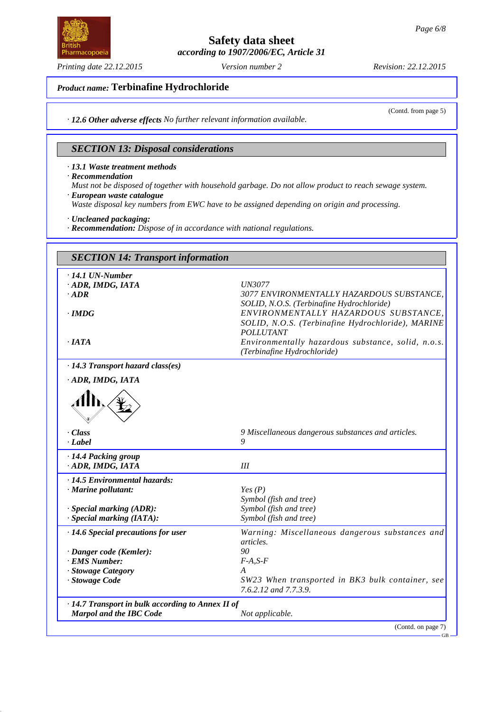**Safety data sheet**

*according to 1907/2006/EC, Article 31*

(Contd. from page 5)

GB

## *Product name:* **Terbinafine Hydrochloride**

*· 12.6 Other adverse effects No further relevant information available.*

# *SECTION 13: Disposal considerations*

*· 13.1 Waste treatment methods*

*· Recommendation*

*Must not be disposed of together with household garbage. Do not allow product to reach sewage system. · European waste catalogue*

*Waste disposal key numbers from EWC have to be assigned depending on origin and processing.*

*· Uncleaned packaging:*

*· Recommendation: Dispose of in accordance with national regulations.*

| <b>SECTION 14: Transport information</b>                          |                                                                                                                                                            |  |
|-------------------------------------------------------------------|------------------------------------------------------------------------------------------------------------------------------------------------------------|--|
| $\cdot$ 14.1 UN-Number<br>ADR, IMDG, IATA                         | <b>UN3077</b>                                                                                                                                              |  |
| $\cdot$ ADR                                                       | 3077 ENVIRONMENTALLY HAZARDOUS SUBSTANCE.                                                                                                                  |  |
| $\cdot$ IMDG                                                      | SOLID, N.O.S. (Terbinafine Hydrochloride)<br>ENVIRONMENTALLY HAZARDOUS SUBSTANCE,<br>SOLID, N.O.S. (Terbinafine Hydrochloride), MARINE<br><b>POLLUTANT</b> |  |
| $\cdot$ IATA                                                      | Environmentally hazardous substance, solid, n.o.s.<br>(Terbinafine Hydrochloride)                                                                          |  |
| · 14.3 Transport hazard class(es)                                 |                                                                                                                                                            |  |
| ADR, IMDG, IATA                                                   |                                                                                                                                                            |  |
|                                                                   |                                                                                                                                                            |  |
| $\cdot Class$<br>$\cdot$ Label                                    | 9 Miscellaneous dangerous substances and articles.<br>9                                                                                                    |  |
| · 14.4 Packing group<br>· ADR, IMDG, IATA                         | III                                                                                                                                                        |  |
| · 14.5 Environmental hazards:                                     |                                                                                                                                                            |  |
| · Marine pollutant:                                               | Yes(P)                                                                                                                                                     |  |
|                                                                   | Symbol (fish and tree)                                                                                                                                     |  |
| $\cdot$ Special marking (ADR):<br>$\cdot$ Special marking (IATA): | Symbol (fish and tree)<br>Symbol (fish and tree)                                                                                                           |  |
| · 14.6 Special precautions for user                               | Warning: Miscellaneous dangerous substances and<br><i>articles.</i>                                                                                        |  |
| · Danger code (Kemler):                                           | $90^{\circ}$                                                                                                                                               |  |
| · EMS Number:                                                     | $F-A, S-F$                                                                                                                                                 |  |
| · Stowage Category                                                | A                                                                                                                                                          |  |
| · Stowage Code                                                    | SW23 When transported in BK3 bulk container, see<br>7.6.2.12 and 7.7.3.9.                                                                                  |  |
| · 14.7 Transport in bulk according to Annex II of                 |                                                                                                                                                            |  |
| <b>Marpol and the IBC Code</b>                                    | Not applicable.                                                                                                                                            |  |



*Printing date 22.12.2015 Version number 2 Revision: 22.12.2015*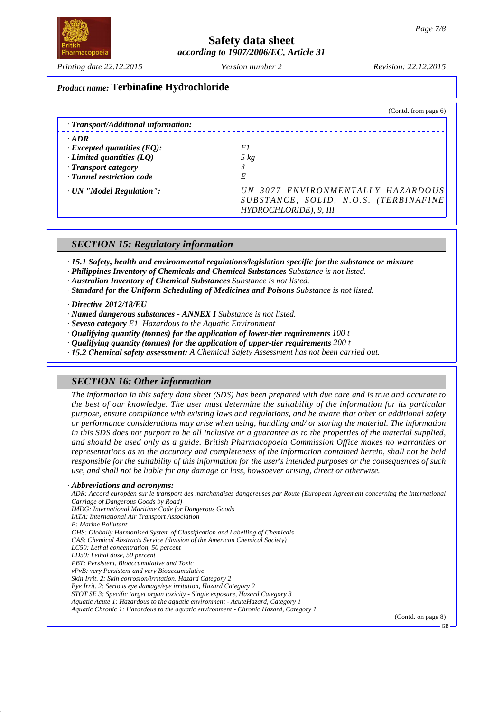*Printing date 22.12.2015 Version number 2 Revision: 22.12.2015*

## *Product name:* **Terbinafine Hydrochloride**

|                                     | (Contd. from page 6)                                            |
|-------------------------------------|-----------------------------------------------------------------|
| · Transport/Additional information: |                                                                 |
| $\cdot$ ADR                         |                                                                 |
| $\cdot$ Excepted quantities (EQ):   | E1                                                              |
| $\cdot$ Limited quantities (LQ)     | $5\ kg$                                                         |
| · Transport category                |                                                                 |
| · Tunnel restriction code           | E                                                               |
| · UN "Model Regulation":            | UN 3077 ENVIRONMENTALLY HAZARDOUS                               |
|                                     | SUBSTANCE, SOLID, N.O.S. (TERBINAFINE<br>HYDROCHLORIDE), 9, III |

## *SECTION 15: Regulatory information*

*· 15.1 Safety, health and environmental regulations/legislation specific for the substance or mixture*

*· Philippines Inventory of Chemicals and Chemical Substances Substance is not listed.*

*· Australian Inventory of Chemical Substances Substance is not listed.*

*· Standard for the Uniform Scheduling of Medicines and Poisons Substance is not listed.*

*· Directive 2012/18/EU*

- *· Named dangerous substances ANNEX I Substance is not listed.*
- *· Seveso category E1 Hazardous to the Aquatic Environment*
- *· Qualifying quantity (tonnes) for the application of lower-tier requirements 100 t*
- *· Qualifying quantity (tonnes) for the application of upper-tier requirements 200 t*
- *· 15.2 Chemical safety assessment: A Chemical Safety Assessment has not been carried out.*

### *SECTION 16: Other information*

*The information in this safety data sheet (SDS) has been prepared with due care and is true and accurate to the best of our knowledge. The user must determine the suitability of the information for its particular purpose, ensure compliance with existing laws and regulations, and be aware that other or additional safety or performance considerations may arise when using, handling and/ or storing the material. The information in this SDS does not purport to be all inclusive or a guarantee as to the properties of the material supplied, and should be used only as a guide. British Pharmacopoeia Commission Office makes no warranties or representations as to the accuracy and completeness of the information contained herein, shall not be held responsible for the suitability of this information for the user's intended purposes or the consequences of such use, and shall not be liable for any damage or loss, howsoever arising, direct or otherwise.*

#### *· Abbreviations and acronyms:*

*ADR: Accord européen sur le transport des marchandises dangereuses par Route (European Agreement concerning the International Carriage of Dangerous Goods by Road)*

*IMDG: International Maritime Code for Dangerous Goods*

*IATA: International Air Transport Association*

*P: Marine Pollutant*

*GHS: Globally Harmonised System of Classification and Labelling of Chemicals*

*CAS: Chemical Abstracts Service (division of the American Chemical Society)*

*LC50: Lethal concentration, 50 percent LD50: Lethal dose, 50 percent*

*PBT: Persistent, Bioaccumulative and Toxic*

*vPvB: very Persistent and very Bioaccumulative*

*Skin Irrit. 2: Skin corrosion/irritation, Hazard Category 2*

*Eye Irrit. 2: Serious eye damage/eye irritation, Hazard Category 2*

*STOT SE 3: Specific target organ toxicity - Single exposure, Hazard Category 3*

*Aquatic Acute 1: Hazardous to the aquatic environment - AcuteHazard, Category 1*

*Aquatic Chronic 1: Hazardous to the aquatic environment - Chronic Hazard, Category 1*

(Contd. on page 8)